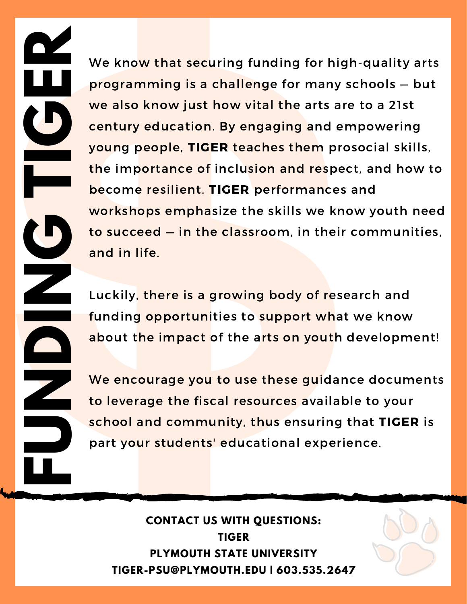the importance of inclusion and respect, and how to young people, TIGER teaches them prosocial skills, we also know just how vital the arts are to a 21st We know that securing funding for high-quality arts programming is a challenge for many schools — but century education. By engaging and empowering become resilient. TIGER performances and workshops emphasize the skills we know youth need to succeed — in the classroom, in their communities, and in life.

Luckily, there is a growing body of research and funding opportunities to support what we know about the impact of the arts on youth development!

We encourage you to use these guidance documents to leverage the fiscal resources available to your school and community, thus ensuring that TIGER is part your students' educational experience.

### **CONTACT US WITH QUESTIONS: TIGER PLYMOUTH STATE UNIVERSITY TIGER-PSU@PLYMOUTH.EDU | 603.535.2647**

**F**

**U**

**N**

**D**

**I** 

**N**

**G**

**T**

**I**

**G**

**E**

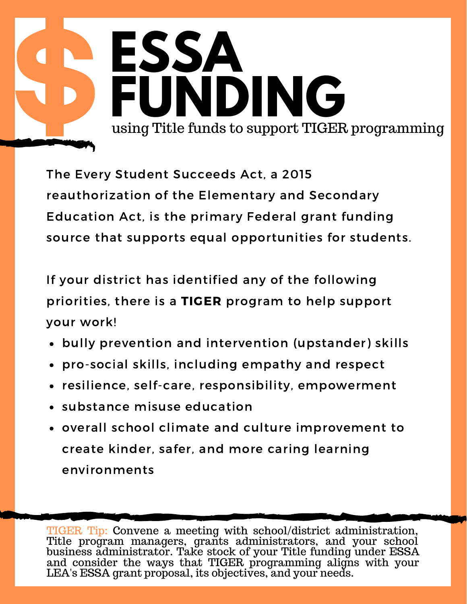

The Every Student Succeeds Act, a 2015 reauthorization of the Elementary and Secondary Education Act, is the primary Federal grant funding source that supports equal opportunities for students.

If your district has identified any of the following priorities, there is a TIGER program to help support your work!

- bully prevention and intervention (upstander) skills
- pro-social skills, including empathy and respect
- resilience, self-care, responsibility, empowerment
- substance misuse education
- overall school climate and culture improvement to create kinder, safer, and more caring learning environments

TIGER Tip: Convene a meeting with school/district administration, Title program managers, grants administrators, and your school business administrator. Take stock of your Title funding under ESSA and consider the ways that TIGER programming aligns with your LEA's ESSA grant proposal, its objectives, and your needs.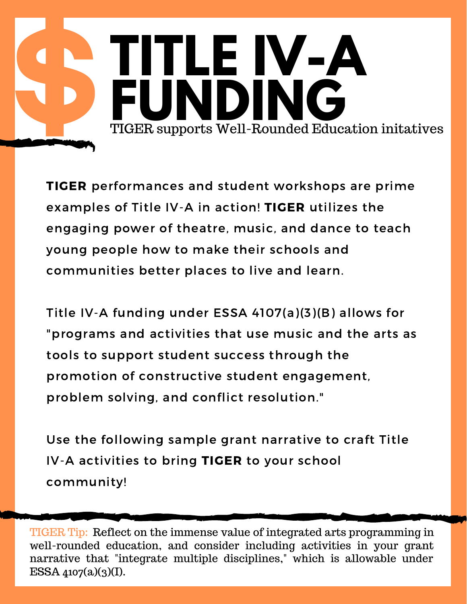## **TITLE IV-A F U N D I N G** TIGE R sup ports Well-Ro unded Education initatives

TIGER performances and student workshops are prime examples of Title IV-A in action! TIGER utilizes the engaging power of theatre, music, and dance to teach young people how to make their schools and communities better places to live and learn.

Title IV-A funding under ESSA 4107(a)(3)(B) allows for "programs and activities that use music and the arts as tools to support student success through the promotion of constructive student engagement, problem solving, and conflict resolution."

Use the following sample grant narrative to craft Title IV-A activities to bring TIGER to your school community!

TIGER Tip: Reflect on the immense value of integrated arts programming in well-rounded education, and consider including activities in your grant narrative that "integrate multiple disciplines," which is allowable under ESSA  $4107(a)(3)(I)$ .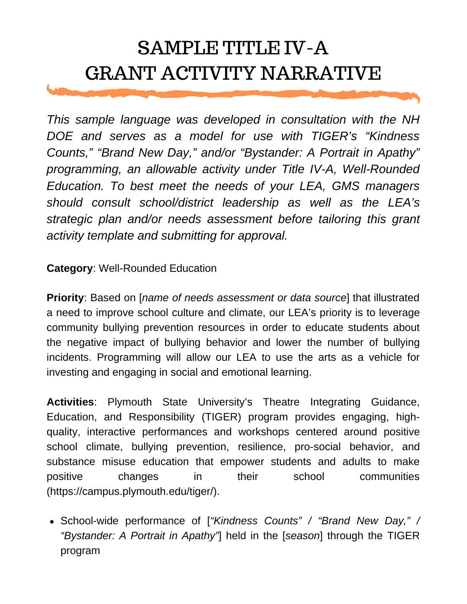## SAMPLE TITLE IV-A GRANT ACTIVITY NARRATIVE

*This sample language was developed in consultation with the NH DOE and serves as a model for use with TIGER's "Kindness Counts," "Brand New Day," and/or "Bystander: A Portrait in Apathy" programming, an allowable activity under Title IV-A, Well-Rounded Education. To best meet the needs of your LEA, GMS managers should consult school/district leadership as well as the LEA's strategic plan and/or needs assessment before tailoring this grant activity template and submitting for approval.*

#### **Category**: Well-Rounded Education

**Priority**: Based on [*name of needs assessment or data source*] that illustrated a need to improve school culture and climate, our LEA's priority is to leverage community bullying prevention resources in order to educate students about the negative impact of bullying behavior and lower the number of bullying incidents. Programming will allow our LEA to use the arts as a vehicle for investing and engaging in social and emotional learning.

**Activities**: Plymouth State University's Theatre Integrating Guidance, Education, and Responsibility (TIGER) program provides engaging, highquality, interactive performances and workshops centered around positive school climate, bullying prevention, resilience, pro-social behavior, and substance misuse education that empower students and adults to make positive changes in their school communities (https://campus.plymouth.edu/tiger/).

School-wide performance of [*"Kindness Counts" / "Brand New Day," / "Bystander: A Portrait in Apathy"*] held in the [*season*] through the TIGER program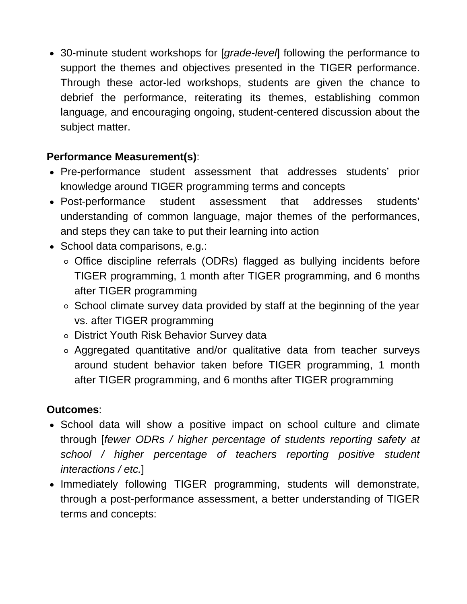30-minute student workshops for [*grade-level*] following the performance to support the themes and objectives presented in the TIGER performance. Through these actor-led workshops, students are given the chance to debrief the performance, reiterating its themes, establishing common language, and encouraging ongoing, student-centered discussion about the subject matter.

#### **Performance Measurement(s)**:

- Pre-performance student assessment that addresses students' prior knowledge around TIGER programming terms and concepts
- Post-performance student assessment that addresses students' understanding of common language, major themes of the performances, and steps they can take to put their learning into action
- School data comparisons, e.g.:
	- Office discipline referrals (ODRs) flagged as bullying incidents before TIGER programming, 1 month after TIGER programming, and 6 months after TIGER programming
	- $\circ$  School climate survey data provided by staff at the beginning of the year vs. after TIGER programming
	- District Youth Risk Behavior Survey data
	- Aggregated quantitative and/or qualitative data from teacher surveys around student behavior taken before TIGER programming, 1 month after TIGER programming, and 6 months after TIGER programming

#### **Outcomes**:

- School data will show a positive impact on school culture and climate through [*fewer ODRs / higher percentage of students reporting safety at school / higher percentage of teachers reporting positive student interactions / etc.*]
- Immediately following TIGER programming, students will demonstrate, through a post-performance assessment, a better understanding of TIGER terms and concepts: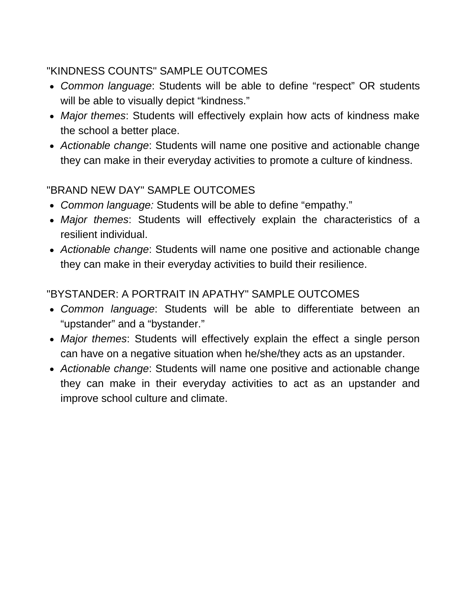#### "KINDNESS COUNTS" SAMPLE OUTCOMES

- *Common language*: Students will be able to define "respect" OR students will be able to visually depict "kindness."
- *Major themes*: Students will effectively explain how acts of kindness make the school a better place.
- *Actionable change*: Students will name one positive and actionable change they can make in their everyday activities to promote a culture of kindness.

#### "BRAND NEW DAY" SAMPLE OUTCOMES

- *Common language:* Students will be able to define "empathy."
- *Major themes*: Students will effectively explain the characteristics of a resilient individual.
- *Actionable change*: Students will name one positive and actionable change they can make in their everyday activities to build their resilience.

#### "BYSTANDER: A PORTRAIT IN APATHY" SAMPLE OUTCOMES

- *Common language*: Students will be able to differentiate between an "upstander" and a "bystander."
- *Major themes*: Students will effectively explain the effect a single person can have on a negative situation when he/she/they acts as an upstander.
- *Actionable change*: Students will name one positive and actionable change they can make in their everyday activities to act as an upstander and improve school culture and climate.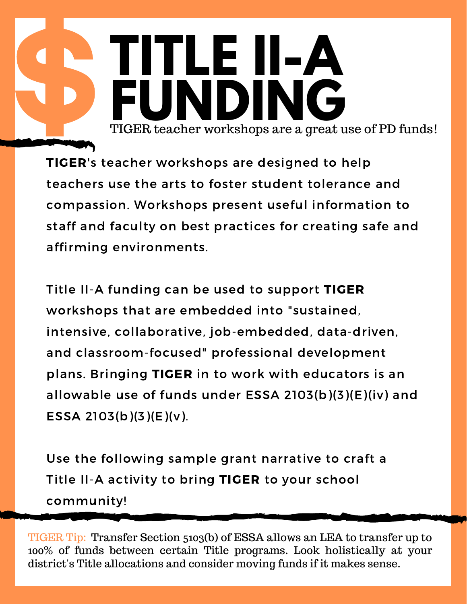**TITLE II-A** TIGER teacher workshops are a great use of PD funds! ER teacher workshops are a great use

TIGER's teacher workshops are designed to help teachers use the arts to foster student tolerance and compassion. Workshops present useful information to staff and faculty on best practices for creating safe and affirming environments.

Title II-A funding can be used to support TIGER workshops that are embedded into "sustained, intensive, collaborative, job-embedded, data-driven, and classroom-focused" professional development plans. Bringing TIGER in to work with educators is an allowable use of funds under ESSA 2103(b)(3)(E)(iv) and ESSA 2103(b)(3)(E)(v).

Use the following sample grant narrative to craft a Title II-A activity to bring TIGER to your school community!

TIGER Tip: Transfer Section 5103(b) of ESSA allows an LEA to transfer up to 100% of funds between certain Title programs. Look holistically at your district's Title allocations and consider moving funds if it makes sense.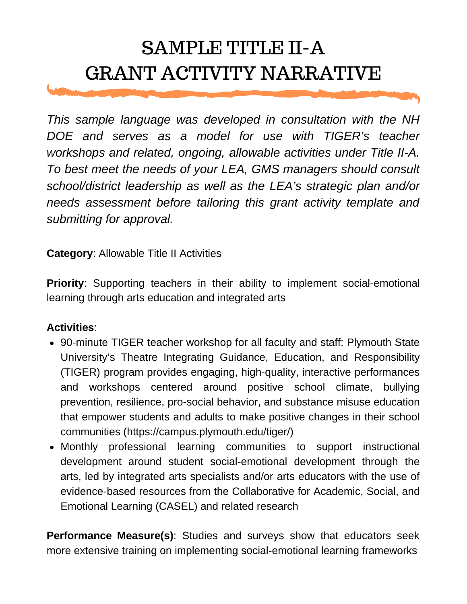## SAMPLE TITLE II-A GRANT ACTIVITY NARRATIVE

*This sample language was developed in consultation with the NH DOE and serves as a model for use with TIGER's teacher workshops and related, ongoing, allowable activities under Title II-A. To best meet the needs of your LEA, GMS managers should consult school/district leadership as well as the LEA's strategic plan and/or needs assessment before tailoring this grant activity template and submitting for approval.*

**Category**: Allowable Title II Activities

**Priority:** Supporting teachers in their ability to implement social-emotional learning through arts education and integrated arts

#### **Activities**:

- 90-minute TIGER teacher workshop for all faculty and staff: Plymouth State University's Theatre Integrating Guidance, Education, and Responsibility (TIGER) program provides engaging, high-quality, interactive performances and workshops centered around positive school climate, bullying prevention, resilience, pro-social behavior, and substance misuse education that empower students and adults to make positive changes in their school communities (https://campus.plymouth.edu/tiger/)
- Monthly professional learning communities to support instructional development around student social-emotional development through the arts, led by integrated arts specialists and/or arts educators with the use of evidence-based resources from the Collaborative for Academic, Social, and Emotional Learning (CASEL) and related research

**Performance Measure(s)**: Studies and surveys show that educators seek more extensive training on implementing social-emotional learning frameworks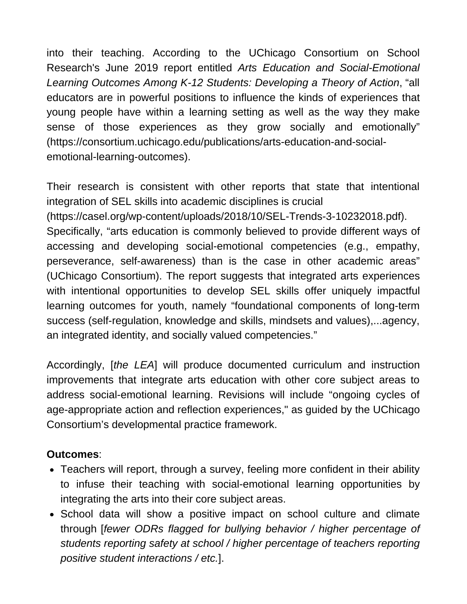into their teaching. According to the UChicago Consortium on School Research's June 2019 report entitled *Arts Education and Social-Emotional Learning Outcomes Among K-12 Students: Developing a Theory of Action*, "all educators are in powerful positions to influence the kinds of experiences that young people have within a learning setting as well as the way they make sense of those experiences as they grow socially and emotionally" (https://consortium.uchicago.edu/publications/arts-education-and-socialemotional-learning-outcomes).

Their research is consistent with other reports that state that intentional integration of SEL skills into academic disciplines is crucial [\(https://casel.org/wp-content/uploads/2018/10/SEL-Trends-3-10232018.pdf\).](https://consortium.uchicago.edu/publications/arts-education-and-social-emotional-learning-outcomes)

Specifically, "arts education is commonly believed to provide different ways of accessing and developing social-emotional competencies (e.g., empathy, perseverance, self-awareness) than is the case in other academic areas" (UChicago Consortium). The report suggests that integrated arts experiences with intentional opportunities to develop SEL skills offer uniquely impactful learning outcomes for youth, namely "foundational components of long-term success (self-regulation, knowledge and skills, mindsets and values),...agency, an integrated identity, and socially valued competencies."

Accordingly, [*the LEA*] will produce documented curriculum and instruction improvements that integrate arts education with other core subject areas to address social-emotional learning. Revisions will include "ongoing cycles of age-appropriate action and reflection experiences," as guided by the UChicago Consortium's developmental practice framework.

#### **Outcomes**:

- Teachers will report, through a survey, feeling more confident in their ability to infuse their teaching with social-emotional learning opportunities by integrating the arts into their core subject areas.
- School data will show a positive impact on school culture and climate through [*fewer ODRs flagged for bullying behavior / higher percentage of students reporting safety at school / higher percentage of teachers reporting positive student interactions / etc.*].